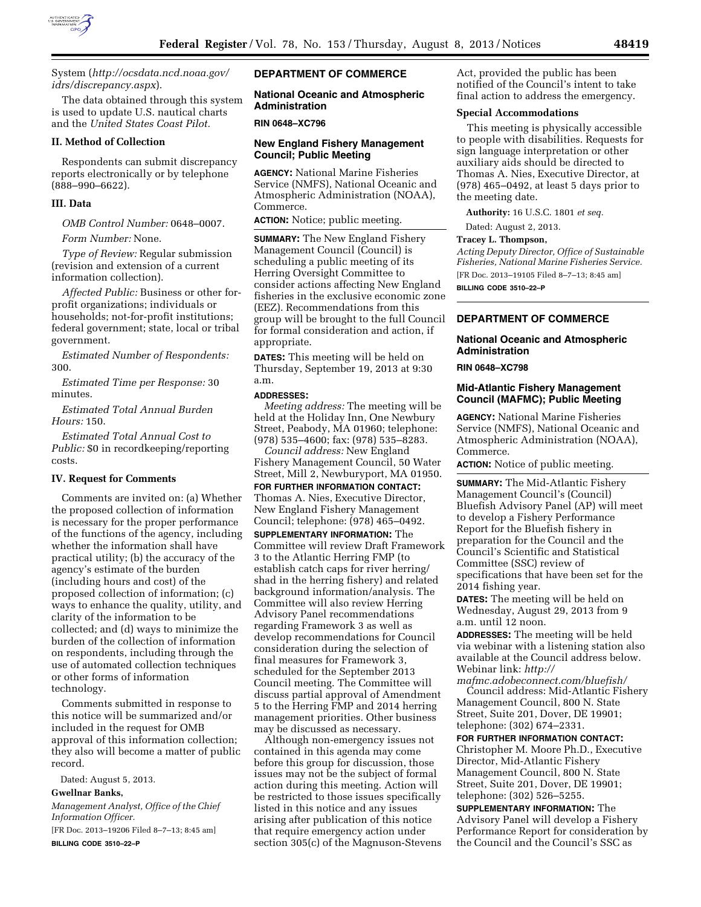

System (*[http://ocsdata.ncd.noaa.gov/](http://ocsdata.ncd.noaa.gov/idrs/discrepancy.aspx) [idrs/discrepancy.aspx](http://ocsdata.ncd.noaa.gov/idrs/discrepancy.aspx)*).

The data obtained through this system is used to update U.S. nautical charts and the *United States Coast Pilot.* 

#### **II. Method of Collection**

Respondents can submit discrepancy reports electronically or by telephone (888–990–6622).

#### **III. Data**

*OMB Control Number:* 0648–0007.

*Form Number:* None.

*Type of Review:* Regular submission (revision and extension of a current information collection).

*Affected Public:* Business or other forprofit organizations; individuals or households; not-for-profit institutions; federal government; state, local or tribal government.

*Estimated Number of Respondents:*  300.

*Estimated Time per Response:* 30 minutes.

*Estimated Total Annual Burden Hours:* 150.

*Estimated Total Annual Cost to Public:* \$0 in recordkeeping/reporting costs.

# **IV. Request for Comments**

Comments are invited on: (a) Whether the proposed collection of information is necessary for the proper performance of the functions of the agency, including whether the information shall have practical utility; (b) the accuracy of the agency's estimate of the burden (including hours and cost) of the proposed collection of information; (c) ways to enhance the quality, utility, and clarity of the information to be collected; and (d) ways to minimize the burden of the collection of information on respondents, including through the use of automated collection techniques or other forms of information technology.

Comments submitted in response to this notice will be summarized and/or included in the request for OMB approval of this information collection; they also will become a matter of public record.

Dated: August 5, 2013.

## **Gwellnar Banks,**

*Management Analyst, Office of the Chief Information Officer.* 

[FR Doc. 2013–19206 Filed 8–7–13; 8:45 am] **BILLING CODE 3510–22–P** 

# **DEPARTMENT OF COMMERCE**

**National Oceanic and Atmospheric Administration** 

#### **RIN 0648–XC796**

# **New England Fishery Management Council; Public Meeting**

**AGENCY:** National Marine Fisheries Service (NMFS), National Oceanic and Atmospheric Administration (NOAA), Commerce.

**ACTION:** Notice; public meeting.

**SUMMARY:** The New England Fishery Management Council (Council) is scheduling a public meeting of its Herring Oversight Committee to consider actions affecting New England fisheries in the exclusive economic zone (EEZ). Recommendations from this group will be brought to the full Council for formal consideration and action, if appropriate.

**DATES:** This meeting will be held on Thursday, September 19, 2013 at 9:30 a.m.

#### **ADDRESSES:**

*Meeting address:* The meeting will be held at the Holiday Inn, One Newbury Street, Peabody, MA 01960; telephone: (978) 535–4600; fax: (978) 535–8283.

*Council address:* New England Fishery Management Council, 50 Water Street, Mill 2, Newburyport, MA 01950.

**FOR FURTHER INFORMATION CONTACT:**  Thomas A. Nies, Executive Director, New England Fishery Management Council; telephone: (978) 465–0492. **SUPPLEMENTARY INFORMATION:** The Committee will review Draft Framework 3 to the Atlantic Herring FMP (to establish catch caps for river herring/ shad in the herring fishery) and related background information/analysis. The Committee will also review Herring Advisory Panel recommendations regarding Framework 3 as well as develop recommendations for Council consideration during the selection of final measures for Framework 3, scheduled for the September 2013 Council meeting. The Committee will discuss partial approval of Amendment 5 to the Herring FMP and 2014 herring management priorities. Other business may be discussed as necessary.

Although non-emergency issues not contained in this agenda may come before this group for discussion, those issues may not be the subject of formal action during this meeting. Action will be restricted to those issues specifically listed in this notice and any issues arising after publication of this notice that require emergency action under section 305(c) of the Magnuson-Stevens Act, provided the public has been notified of the Council's intent to take final action to address the emergency.

#### **Special Accommodations**

This meeting is physically accessible to people with disabilities. Requests for sign language interpretation or other auxiliary aids should be directed to Thomas A. Nies, Executive Director, at (978) 465–0492, at least 5 days prior to the meeting date.

**Authority:** 16 U.S.C. 1801 *et seq.* 

Dated: August 2, 2013.

# **Tracey L. Thompson,**

*Acting Deputy Director, Office of Sustainable Fisheries, National Marine Fisheries Service.*  [FR Doc. 2013–19105 Filed 8–7–13; 8:45 am] **BILLING CODE 3510–22–P** 

# **DEPARTMENT OF COMMERCE**

## **National Oceanic and Atmospheric Administration**

#### **RIN 0648–XC798**

#### **Mid-Atlantic Fishery Management Council (MAFMC); Public Meeting**

**AGENCY:** National Marine Fisheries Service (NMFS), National Oceanic and Atmospheric Administration (NOAA), Commerce.

**ACTION:** Notice of public meeting.

**SUMMARY:** The Mid-Atlantic Fishery Management Council's (Council) Bluefish Advisory Panel (AP) will meet to develop a Fishery Performance Report for the Bluefish fishery in preparation for the Council and the Council's Scientific and Statistical Committee (SSC) review of specifications that have been set for the 2014 fishing year.

**DATES:** The meeting will be held on Wednesday, August 29, 2013 from 9 a.m. until 12 noon.

**ADDRESSES:** The meeting will be held via webinar with a listening station also available at the Council address below. Webinar link: *[http://](http://mafmc.adobeconnect.com/bluefish/)* 

*[mafmc.adobeconnect.com/bluefish/](http://mafmc.adobeconnect.com/bluefish/)*  Council address: Mid-Atlantic Fishery Management Council, 800 N. State Street, Suite 201, Dover, DE 19901; telephone: (302) 674–2331.

**FOR FURTHER INFORMATION CONTACT:**  Christopher M. Moore Ph.D., Executive Director, Mid-Atlantic Fishery Management Council, 800 N. State Street, Suite 201, Dover, DE 19901; telephone: (302) 526–5255.

**SUPPLEMENTARY INFORMATION:** The Advisory Panel will develop a Fishery Performance Report for consideration by the Council and the Council's SSC as